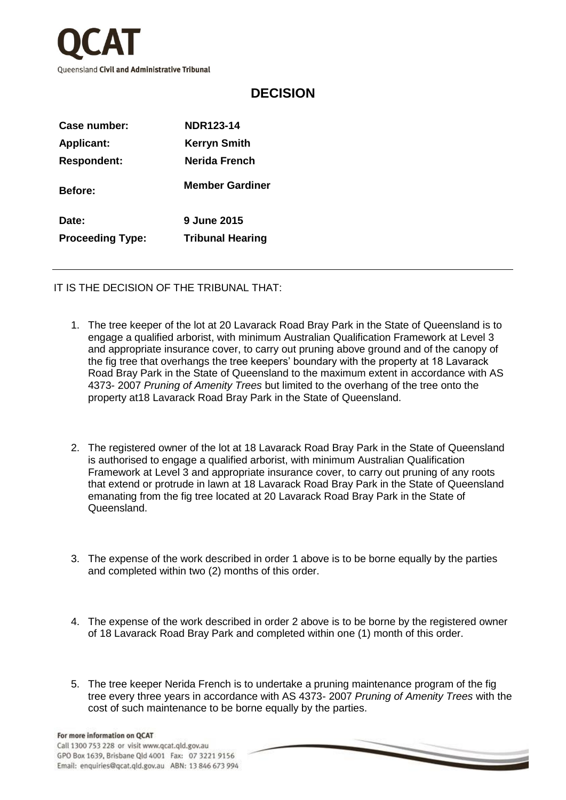

## **DECISION**

| Case number:            | NDR123-14               |
|-------------------------|-------------------------|
| <b>Applicant:</b>       | <b>Kerryn Smith</b>     |
| <b>Respondent:</b>      | Nerida French           |
| <b>Before:</b>          | <b>Member Gardiner</b>  |
| Date:                   | 9 June 2015             |
| <b>Proceeding Type:</b> | <b>Tribunal Hearing</b> |

IT IS THE DECISION OF THE TRIBUNAL THAT:

- 1. The tree keeper of the lot at 20 Lavarack Road Bray Park in the State of Queensland is to engage a qualified arborist, with minimum Australian Qualification Framework at Level 3 and appropriate insurance cover, to carry out pruning above ground and of the canopy of the fig tree that overhangs the tree keepers' boundary with the property at 18 Lavarack Road Bray Park in the State of Queensland to the maximum extent in accordance with AS 4373- 2007 *Pruning of Amenity Trees* but limited to the overhang of the tree onto the property at18 Lavarack Road Bray Park in the State of Queensland.
- 2. The registered owner of the lot at 18 Lavarack Road Bray Park in the State of Queensland is authorised to engage a qualified arborist, with minimum Australian Qualification Framework at Level 3 and appropriate insurance cover, to carry out pruning of any roots that extend or protrude in lawn at 18 Lavarack Road Bray Park in the State of Queensland emanating from the fig tree located at 20 Lavarack Road Bray Park in the State of Queensland.
- 3. The expense of the work described in order 1 above is to be borne equally by the parties and completed within two (2) months of this order.
- 4. The expense of the work described in order 2 above is to be borne by the registered owner of 18 Lavarack Road Bray Park and completed within one (1) month of this order.
- 5. The tree keeper Nerida French is to undertake a pruning maintenance program of the fig tree every three years in accordance with AS 4373- 2007 *Pruning of Amenity Trees* with the cost of such maintenance to be borne equally by the parties.